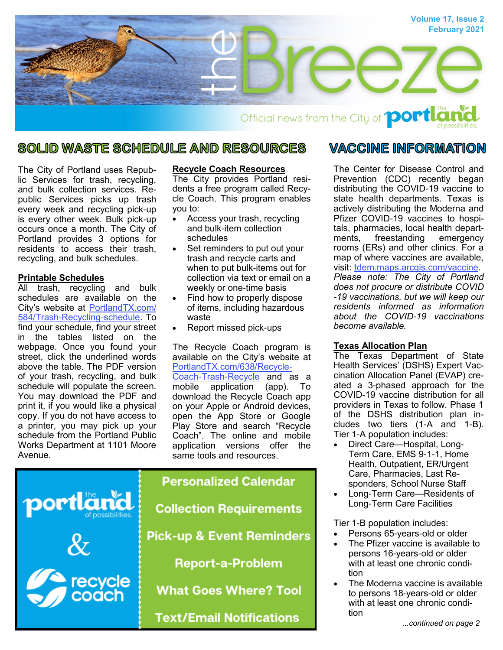

### **SOLID WASTE SCHEDULE AND RESOURCES**

The City of Portland uses Republic Services for trash, recycling, and bulk collection services. Republic Services picks up trash every week and recycling pick-up is every other week. Bulk pick-up occurs once a month. The City of Portland provides 3 options for residents to access their trash, recycling, and bulk schedules.

#### **Printable Schedules**

All trash, recycling and bulk schedules are available on the City's website at [PortlandTX.com/](http://portlandtx.com/584/Trash-Recycling-Schedule) [584/Trash-Recycling-schedule.](http://portlandtx.com/584/Trash-Recycling-Schedule) To find your schedule, find your street in the tables listed on the webpage. Once you found your street, click the underlined words above the table. The PDF version of your trash, recycling, and bulk schedule will populate the screen. You may download the PDF and print it, if you would like a physical copy. If you do not have access to a printer, you may pick up your schedule from the Portland Public Works Department at 1101 Moore Avenue.

#### **Recycle Coach Resources**

The City provides Portland residents a free program called Recycle Coach. This program enables you to:

- Access your trash, recycling and bulk-item collection schedules
- Set reminders to put out your trash and recycle carts and when to put bulk-items out for collection via text or email on a weekly or one-time basis
- Find how to properly dispose of items, including hazardous waste
- Report missed pick-ups

The Recycle Coach program is available on the City's website at [PortlandTX.com/638/Recycle-](http://portlandtx.com/638/Recycle-Coach-Trash-Recycle-App)[Coach-Trash-Recycle](http://portlandtx.com/638/Recycle-Coach-Trash-Recycle-App) and as a mobile application (app). To download the Recycle Coach app on your Apple or Android devices, open the App Store or Google Play Store and search "Recycle Coach". The online and mobile application versions offer the same tools and resources.



# **Collection Requirements Pick-up & Event Reminders Report-a-Problem**

**What Goes Where? Tool** 

**Text/Email Notifications** 

#### VACCINE INFORMATION

The Center for Disease Control and Prevention (CDC) recently began distributing the COVID-19 vaccine to state health departments. Texas is actively distributing the Moderna and Pfizer COVID-19 vaccines to hospitals, pharmacies, local health departments, freestanding emergency rooms (ERs) and other clinics. For a map of where vaccines are available, visit: [tdem.maps.arcgis.com/vaccine.](https://tdem.maps.arcgis.com/apps/webappviewer/index.html?id=3700a84845c5470cb0dc3ddace5c376b)  *Please note: The City of Portland does not procure or distribute COVID -19 vaccinations, but we will keep our residents informed as information about the COVID-19 vaccinations become available.* 

#### **Texas Allocation Plan**

The Texas Department of State Health Services' (DSHS) Expert Vaccination Allocation Panel (EVAP) created a 3-phased approach for the COVID-19 vaccine distribution for all providers in Texas to follow. Phase 1 of the DSHS distribution plan includes two tiers (1-A and 1-B). Tier 1-A population includes:

- Direct Care—Hospital, Long-Term Care, EMS 9-1-1, Home Health, Outpatient, ER/Urgent Care, Pharmacies, Last Responders, School Nurse Staff
- Long-Term Care—Residents of Long-Term Care Facilities

Tier 1-B population includes:

- Persons 65-years-old or older
- The Pfizer vaccine is available to persons 16-years-old or older with at least one chronic condition
- The Moderna vaccine is available to persons 18-years-old or older with at least one chronic condition